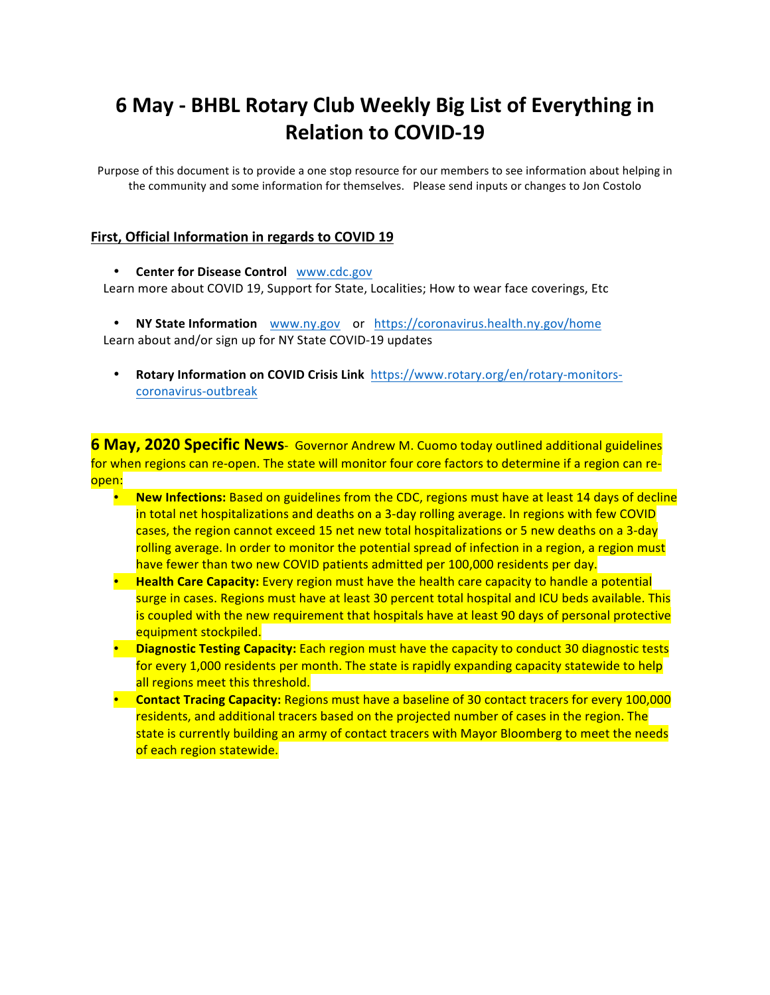# **6 May - BHBL Rotary Club Weekly Big List of Everything in Relation to COVID-19**

Purpose of this document is to provide a one stop resource for our members to see information about helping in the community and some information for themselves. Please send inputs or changes to Jon Costolo

#### First, Official Information in regards to COVID 19

#### **Center for Disease Control WWW.cdc.gov**

Learn more about COVID 19, Support for State, Localities; How to wear face coverings, Etc

• **NY State Information** www.ny.gov or https://coronavirus.health.ny.gov/home Learn about and/or sign up for NY State COVID-19 updates

**Rotary Information on COVID Crisis Link** https://www.rotary.org/en/rotary-monitorscoronavirus-outbreak

**6 May, 2020 Specific News**- Governor Andrew M. Cuomo today outlined additional guidelines for when regions can re-open. The state will monitor four core factors to determine if a region can reopen:

- **New Infections:** Based on guidelines from the CDC, regions must have at least 14 days of decline in total net hospitalizations and deaths on a 3-day rolling average. In regions with few COVID cases, the region cannot exceed 15 net new total hospitalizations or 5 new deaths on a 3-day rolling average. In order to monitor the potential spread of infection in a region, a region must have fewer than two new COVID patients admitted per 100,000 residents per day.
- **Health Care Capacity:** Every region must have the health care capacity to handle a potential surge in cases. Regions must have at least 30 percent total hospital and ICU beds available. This is coupled with the new requirement that hospitals have at least 90 days of personal protective equipment stockpiled.
- Diagnostic Testing Capacity: Each region must have the capacity to conduct 30 diagnostic tests for every 1,000 residents per month. The state is rapidly expanding capacity statewide to help all regions meet this threshold.
- **Contact Tracing Capacity:** Regions must have a baseline of 30 contact tracers for every 100,000 residents, and additional tracers based on the projected number of cases in the region. The state is currently building an army of contact tracers with Mayor Bloomberg to meet the needs of each region statewide.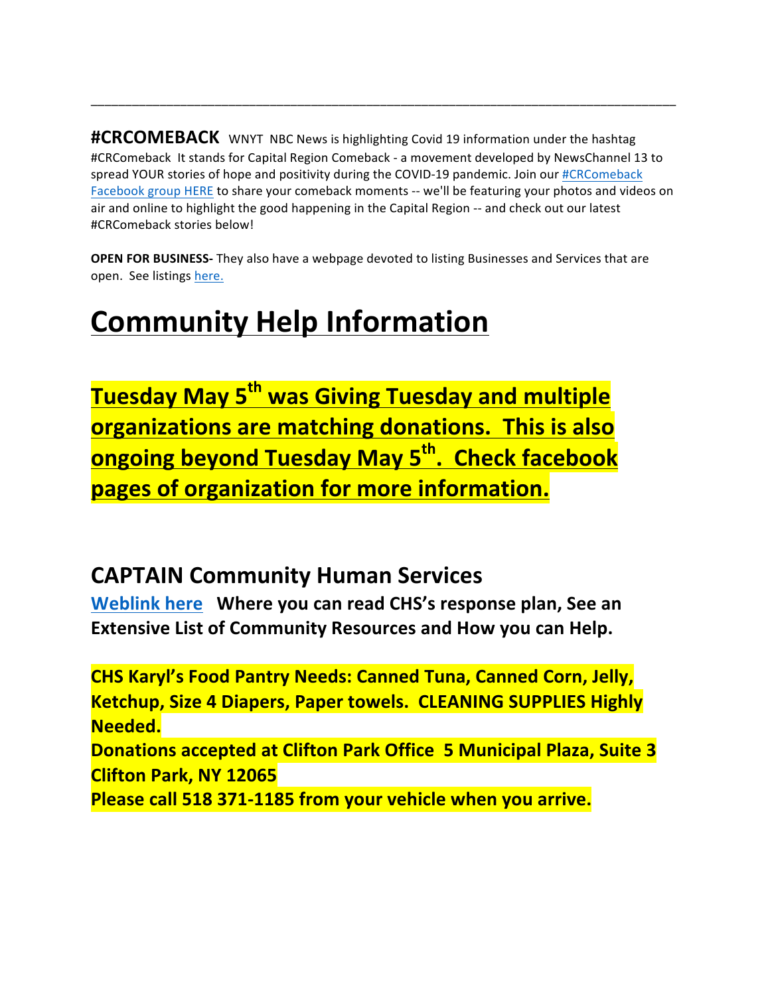#CRCOMEBACK WNYT NBC News is highlighting Covid 19 information under the hashtag #CRComeback It stands for Capital Region Comeback - a movement developed by NewsChannel 13 to spread YOUR stories of hope and positivity during the COVID-19 pandemic. Join our #CRComeback Facebook group HERE to share your comeback moments -- we'll be featuring your photos and videos on air and online to highlight the good happening in the Capital Region -- and check out our latest #CRComeback stories below!

\_\_\_\_\_\_\_\_\_\_\_\_\_\_\_\_\_\_\_\_\_\_\_\_\_\_\_\_\_\_\_\_\_\_\_\_\_\_\_\_\_\_\_\_\_\_\_\_\_\_\_\_\_\_\_\_\_\_\_\_\_\_\_\_\_\_\_\_\_\_\_\_\_\_\_\_\_\_\_\_\_\_\_\_\_

**OPEN FOR BUSINESS-** They also have a webpage devoted to listing Businesses and Services that are open. See listings here.

# **Community Help Information**

**Tuesday May 5<sup>th</sup> was Giving Tuesday and multiple organizations are matching donations. This is also ongoing beyond Tuesday May 5<sup>th</sup>. Check facebook pages of organization for more information.** 

# **CAPTAIN Community Human Services**

**Weblink here** Where you can read CHS's response plan, See an **Extensive List of Community Resources and How you can Help.** 

**CHS Karyl's Food Pantry Needs: Canned Tuna, Canned Corn, Jelly, Ketchup, Size 4 Diapers, Paper towels. CLEANING SUPPLIES Highly Needed. Donations accepted at Clifton Park Office 5 Municipal Plaza, Suite 3 Clifton Park, NY 12065 Please call 518 371-1185 from your vehicle when you arrive.**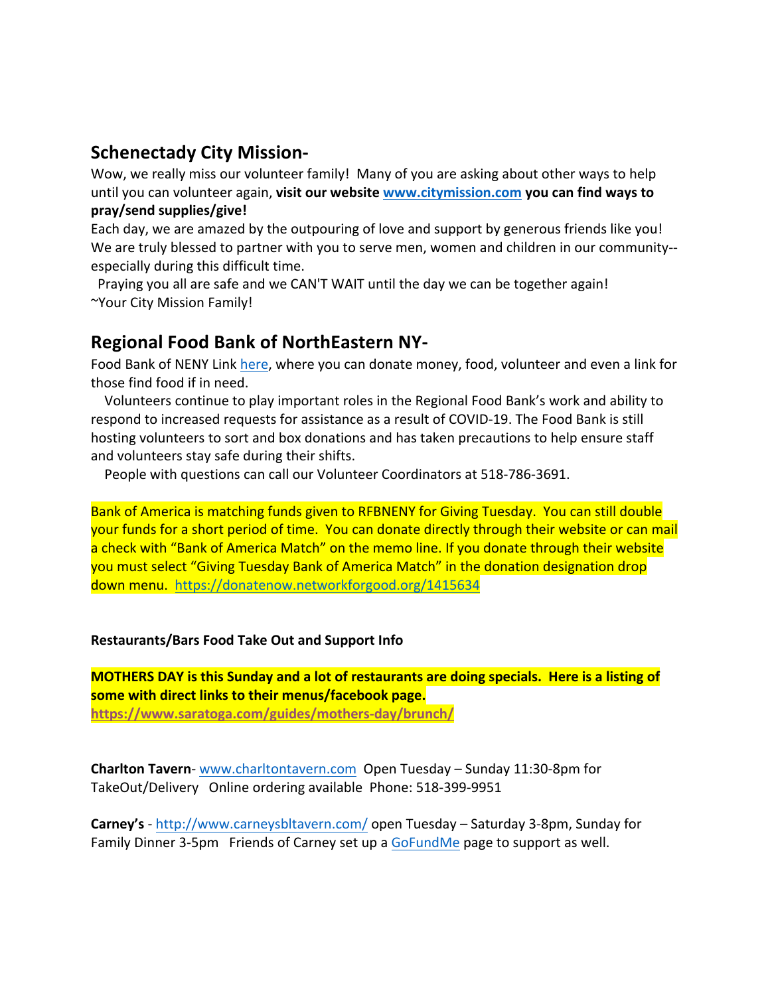### **Schenectady City Mission-**

Wow, we really miss our volunteer family! Many of you are asking about other ways to help until you can volunteer again, **visit our website www.citymission.com** you can find ways to **pray/send supplies/give!**

Each day, we are amazed by the outpouring of love and support by generous friends like you! We are truly blessed to partner with you to serve men, women and children in our community-especially during this difficult time.

Praying you all are safe and we CAN'T WAIT until the day we can be together again! ~Your City Mission Family!

## **Regional Food Bank of NorthEastern NY-**

Food Bank of NENY Link here, where you can donate money, food, volunteer and even a link for those find food if in need.

Volunteers continue to play important roles in the Regional Food Bank's work and ability to respond to increased requests for assistance as a result of COVID-19. The Food Bank is still hosting volunteers to sort and box donations and has taken precautions to help ensure staff and volunteers stay safe during their shifts.

People with questions can call our Volunteer Coordinators at 518-786-3691.

Bank of America is matching funds given to RFBNENY for Giving Tuesday. You can still double your funds for a short period of time. You can donate directly through their website or can mail a check with "Bank of America Match" on the memo line. If you donate through their website you must select "Giving Tuesday Bank of America Match" in the donation designation drop down menu. https://donatenow.networkforgood.org/1415634

#### **Restaurants/Bars Food Take Out and Support Info**

**MOTHERS DAY is this Sunday and a lot of restaurants are doing specials. Here is a listing of some with direct links to their menus/facebook page. https://www.saratoga.com/guides/mothers-day/brunch/**

**Charlton Tavern-** www.charltontavern.com Open Tuesday – Sunday 11:30-8pm for TakeOut/Delivery Online ordering available Phone: 518-399-9951

**Carney's** - http://www.carneysbltavern.com/ open Tuesday – Saturday 3-8pm, Sunday for Family Dinner 3-5pm Friends of Carney set up a GoFundMe page to support as well.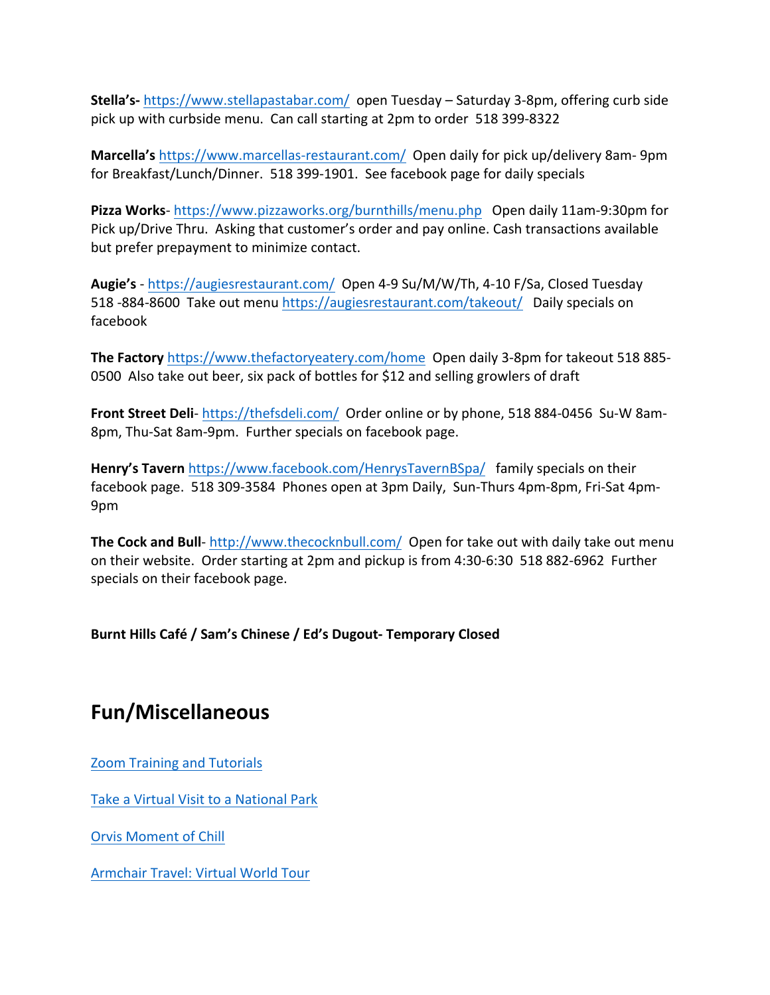**Stella's-** https://www.stellapastabar.com/ open Tuesday – Saturday 3-8pm, offering curb side pick up with curbside menu. Can call starting at 2pm to order 518 399-8322

**Marcella's** https://www.marcellas-restaurant.com/ Open daily for pick up/delivery 8am-9pm for Breakfast/Lunch/Dinner. 518 399-1901. See facebook page for daily specials

**Pizza Works**- https://www.pizzaworks.org/burnthills/menu.php Open daily 11am-9:30pm for Pick up/Drive Thru. Asking that customer's order and pay online. Cash transactions available but prefer prepayment to minimize contact.

**Augie's** - https://augiesrestaurant.com/ Open 4-9 Su/M/W/Th, 4-10 F/Sa, Closed Tuesday 518 -884-8600 Take out menu https://augiesrestaurant.com/takeout/ Daily specials on facebook

**The Factory** https://www.thefactoryeatery.com/home Open daily 3-8pm for takeout 518 885-0500 Also take out beer, six pack of bottles for \$12 and selling growlers of draft

Front Street Deli- https://thefsdeli.com/ Order online or by phone, 518 884-0456 Su-W 8am-8pm, Thu-Sat 8am-9pm. Further specials on facebook page.

**Henry's Tavern** https://www.facebook.com/HenrysTavernBSpa/ family specials on their facebook page. 518 309-3584 Phones open at 3pm Daily, Sun-Thurs 4pm-8pm, Fri-Sat 4pm-9pm

**The Cock and Bull-** http://www.thecocknbull.com/ Open for take out with daily take out menu on their website. Order starting at 2pm and pickup is from 4:30-6:30 518 882-6962 Further specials on their facebook page.

**Burnt Hills Café / Sam's Chinese / Ed's Dugout- Temporary Closed**

## **Fun/Miscellaneous**

Zoom Training and Tutorials

Take a Virtual Visit to a National Park

Orvis Moment of Chill

Armchair Travel: Virtual World Tour